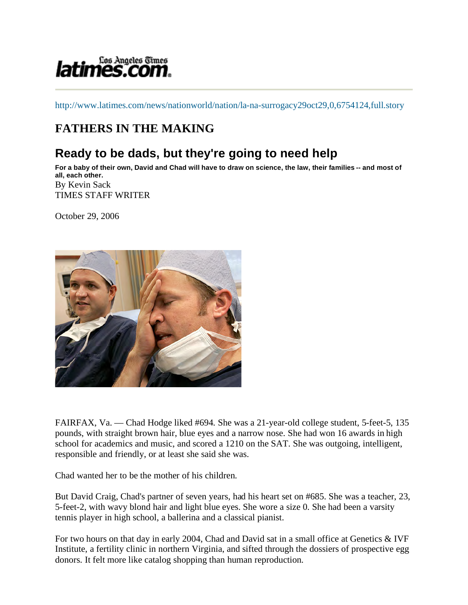# *latimes.com.*

http://www.latimes.com/news/nationworld/nation/la-na-surrogacy29oct29,0,6754124,full.story

## **FATHERS IN THE MAKING**

## **Ready to be dads, but they're going to need help**

**For a baby of their own, David and Chad will have to draw on science, the law, their families -- and most of all, each other.** By Kevin Sack TIMES STAFF WRITER

October 29, 2006



FAIRFAX, Va. — Chad Hodge liked #694. She was a 21-year-old college student, 5-feet-5, 135 pounds, with straight brown hair, blue eyes and a narrow nose. She had won 16 awards in high school for academics and music, and scored a 1210 on the SAT. She was outgoing, intelligent, responsible and friendly, or at least she said she was.

Chad wanted her to be the mother of his children.

But David Craig, Chad's partner of seven years, had his heart set on #685. She was a teacher, 23, 5-feet-2, with wavy blond hair and light blue eyes. She wore a size 0. She had been a varsity tennis player in high school, a ballerina and a classical pianist.

For two hours on that day in early 2004, Chad and David sat in a small office at Genetics & IVF Institute, a fertility clinic in northern Virginia, and sifted through the dossiers of prospective egg donors. It felt more like catalog shopping than human reproduction.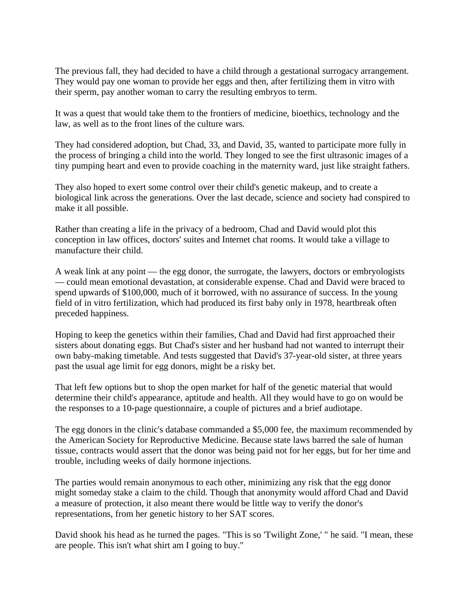The previous fall, they had decided to have a child through a gestational surrogacy arrangement. They would pay one woman to provide her eggs and then, after fertilizing them in vitro with their sperm, pay another woman to carry the resulting embryos to term.

It was a quest that would take them to the frontiers of medicine, bioethics, technology and the law, as well as to the front lines of the culture wars.

They had considered adoption, but Chad, 33, and David, 35, wanted to participate more fully in the process of bringing a child into the world. They longed to see the first ultrasonic images of a tiny pumping heart and even to provide coaching in the maternity ward, just like straight fathers.

They also hoped to exert some control over their child's genetic makeup, and to create a biological link across the generations. Over the last decade, science and society had conspired to make it all possible.

Rather than creating a life in the privacy of a bedroom, Chad and David would plot this conception in law offices, doctors' suites and Internet chat rooms. It would take a village to manufacture their child.

A weak link at any point — the egg donor, the surrogate, the lawyers, doctors or embryologists — could mean emotional devastation, at considerable expense. Chad and David were braced to spend upwards of \$100,000, much of it borrowed, with no assurance of success. In the young field of in vitro fertilization, which had produced its first baby only in 1978, heartbreak often preceded happiness.

Hoping to keep the genetics within their families, Chad and David had first approached their sisters about donating eggs. But Chad's sister and her husband had not wanted to interrupt their own baby-making timetable. And tests suggested that David's 37-year-old sister, at three years past the usual age limit for egg donors, might be a risky bet.

That left few options but to shop the open market for half of the genetic material that would determine their child's appearance, aptitude and health. All they would have to go on would be the responses to a 10-page questionnaire, a couple of pictures and a brief audiotape.

The egg donors in the clinic's database commanded a \$5,000 fee, the maximum recommended by the American Society for Reproductive Medicine. Because state laws barred the sale of human tissue, contracts would assert that the donor was being paid not for her eggs, but for her time and trouble, including weeks of daily hormone injections.

The parties would remain anonymous to each other, minimizing any risk that the egg donor might someday stake a claim to the child. Though that anonymity would afford Chad and David a measure of protection, it also meant there would be little way to verify the donor's representations, from her genetic history to her SAT scores.

David shook his head as he turned the pages. "This is so 'Twilight Zone,' " he said. "I mean, these are people. This isn't what shirt am I going to buy."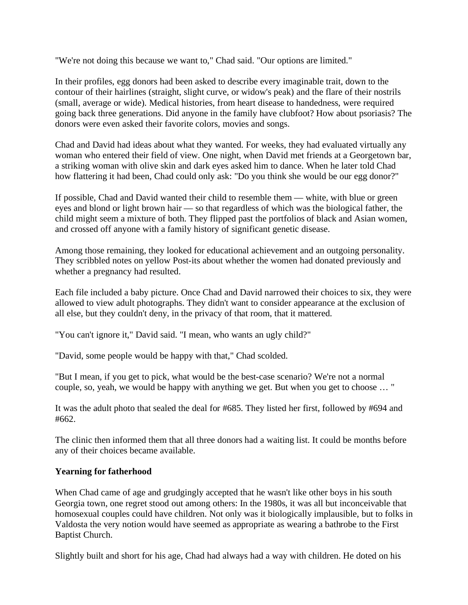"We're not doing this because we want to," Chad said. "Our options are limited."

In their profiles, egg donors had been asked to describe every imaginable trait, down to the contour of their hairlines (straight, slight curve, or widow's peak) and the flare of their nostrils (small, average or wide). Medical histories, from heart disease to handedness, were required going back three generations. Did anyone in the family have clubfoot? How about psoriasis? The donors were even asked their favorite colors, movies and songs.

Chad and David had ideas about what they wanted. For weeks, they had evaluated virtually any woman who entered their field of view. One night, when David met friends at a Georgetown bar, a striking woman with olive skin and dark eyes asked him to dance. When he later told Chad how flattering it had been, Chad could only ask: "Do you think she would be our egg donor?"

If possible, Chad and David wanted their child to resemble them — white, with blue or green eyes and blond or light brown hair — so that regardless of which was the biological father, the child might seem a mixture of both. They flipped past the portfolios of black and Asian women, and crossed off anyone with a family history of significant genetic disease.

Among those remaining, they looked for educational achievement and an outgoing personality. They scribbled notes on yellow Post-its about whether the women had donated previously and whether a pregnancy had resulted.

Each file included a baby picture. Once Chad and David narrowed their choices to six, they were allowed to view adult photographs. They didn't want to consider appearance at the exclusion of all else, but they couldn't deny, in the privacy of that room, that it mattered.

"You can't ignore it," David said. "I mean, who wants an ugly child?"

"David, some people would be happy with that," Chad scolded.

"But I mean, if you get to pick, what would be the best-case scenario? We're not a normal couple, so, yeah, we would be happy with anything we get. But when you get to choose … "

It was the adult photo that sealed the deal for #685. They listed her first, followed by #694 and #662.

The clinic then informed them that all three donors had a waiting list. It could be months before any of their choices became available.

#### **Yearning for fatherhood**

When Chad came of age and grudgingly accepted that he wasn't like other boys in his south Georgia town, one regret stood out among others: In the 1980s, it was all but inconceivable that homosexual couples could have children. Not only was it biologically implausible, but to folks in Valdosta the very notion would have seemed as appropriate as wearing a bathrobe to the First Baptist Church.

Slightly built and short for his age, Chad had always had a way with children. He doted on his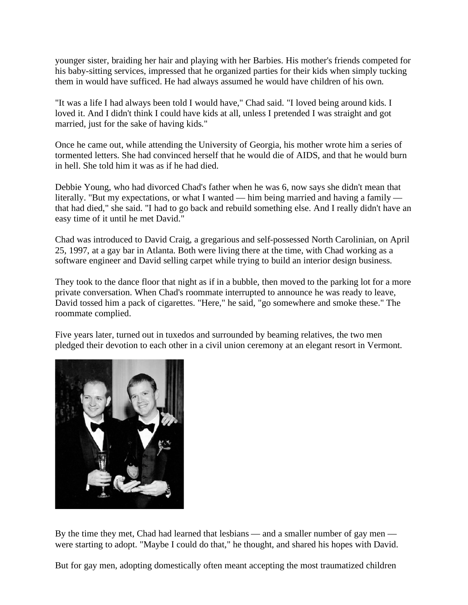younger sister, braiding her hair and playing with her Barbies. His mother's friends competed for his baby-sitting services, impressed that he organized parties for their kids when simply tucking them in would have sufficed. He had always assumed he would have children of his own.

"It was a life I had always been told I would have," Chad said. "I loved being around kids. I loved it. And I didn't think I could have kids at all, unless I pretended I was straight and got married, just for the sake of having kids."

Once he came out, while attending the University of Georgia, his mother wrote him a series of tormented letters. She had convinced herself that he would die of AIDS, and that he would burn in hell. She told him it was as if he had died.

Debbie Young, who had divorced Chad's father when he was 6, now says she didn't mean that literally. "But my expectations, or what I wanted — him being married and having a family that had died," she said. "I had to go back and rebuild something else. And I really didn't have an easy time of it until he met David."

Chad was introduced to David Craig, a gregarious and self-possessed North Carolinian, on April 25, 1997, at a gay bar in Atlanta. Both were living there at the time, with Chad working as a software engineer and David selling carpet while trying to build an interior design business.

They took to the dance floor that night as if in a bubble, then moved to the parking lot for a more private conversation. When Chad's roommate interrupted to announce he was ready to leave, David tossed him a pack of cigarettes. "Here," he said, "go somewhere and smoke these." The roommate complied.

Five years later, turned out in tuxedos and surrounded by beaming relatives, the two men pledged their devotion to each other in a civil union ceremony at an elegant resort in Vermont.



By the time they met, Chad had learned that lesbians — and a smaller number of gay men were starting to adopt. "Maybe I could do that," he thought, and shared his hopes with David.

But for gay men, adopting domestically often meant accepting the most traumatized children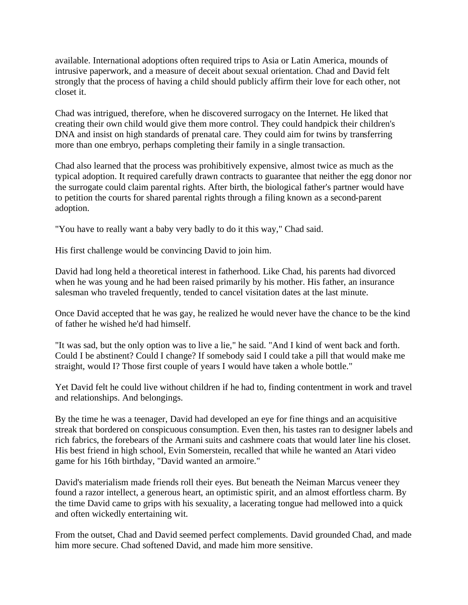available. International adoptions often required trips to Asia or Latin America, mounds of intrusive paperwork, and a measure of deceit about sexual orientation. Chad and David felt strongly that the process of having a child should publicly affirm their love for each other, not closet it.

Chad was intrigued, therefore, when he discovered surrogacy on the Internet. He liked that creating their own child would give them more control. They could handpick their children's DNA and insist on high standards of prenatal care. They could aim for twins by transferring more than one embryo, perhaps completing their family in a single transaction.

Chad also learned that the process was prohibitively expensive, almost twice as much as the typical adoption. It required carefully drawn contracts to guarantee that neither the egg donor nor the surrogate could claim parental rights. After birth, the biological father's partner would have to petition the courts for shared parental rights through a filing known as a second-parent adoption.

"You have to really want a baby very badly to do it this way," Chad said.

His first challenge would be convincing David to join him.

David had long held a theoretical interest in fatherhood. Like Chad, his parents had divorced when he was young and he had been raised primarily by his mother. His father, an insurance salesman who traveled frequently, tended to cancel visitation dates at the last minute.

Once David accepted that he was gay, he realized he would never have the chance to be the kind of father he wished he'd had himself.

"It was sad, but the only option was to live a lie," he said. "And I kind of went back and forth. Could I be abstinent? Could I change? If somebody said I could take a pill that would make me straight, would I? Those first couple of years I would have taken a whole bottle."

Yet David felt he could live without children if he had to, finding contentment in work and travel and relationships. And belongings.

By the time he was a teenager, David had developed an eye for fine things and an acquisitive streak that bordered on conspicuous consumption. Even then, his tastes ran to designer labels and rich fabrics, the forebears of the Armani suits and cashmere coats that would later line his closet. His best friend in high school, Evin Somerstein, recalled that while he wanted an Atari video game for his 16th birthday, "David wanted an armoire."

David's materialism made friends roll their eyes. But beneath the Neiman Marcus veneer they found a razor intellect, a generous heart, an optimistic spirit, and an almost effortless charm. By the time David came to grips with his sexuality, a lacerating tongue had mellowed into a quick and often wickedly entertaining wit.

From the outset, Chad and David seemed perfect complements. David grounded Chad, and made him more secure. Chad softened David, and made him more sensitive.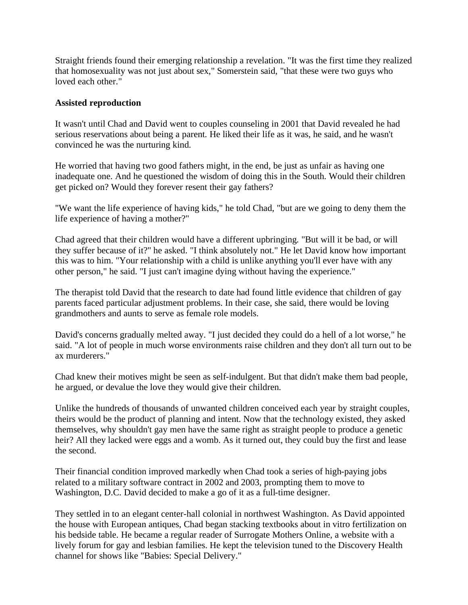Straight friends found their emerging relationship a revelation. "It was the first time they realized that homosexuality was not just about sex," Somerstein said, "that these were two guys who loved each other."

#### **Assisted reproduction**

It wasn't until Chad and David went to couples counseling in 2001 that David revealed he had serious reservations about being a parent. He liked their life as it was, he said, and he wasn't convinced he was the nurturing kind.

He worried that having two good fathers might, in the end, be just as unfair as having one inadequate one. And he questioned the wisdom of doing this in the South. Would their children get picked on? Would they forever resent their gay fathers?

"We want the life experience of having kids," he told Chad, "but are we going to deny them the life experience of having a mother?"

Chad agreed that their children would have a different upbringing. "But will it be bad, or will they suffer because of it?" he asked. "I think absolutely not." He let David know how important this was to him. "Your relationship with a child is unlike anything you'll ever have with any other person," he said. "I just can't imagine dying without having the experience."

The therapist told David that the research to date had found little evidence that children of gay parents faced particular adjustment problems. In their case, she said, there would be loving grandmothers and aunts to serve as female role models.

David's concerns gradually melted away. "I just decided they could do a hell of a lot worse," he said. "A lot of people in much worse environments raise children and they don't all turn out to be ax murderers."

Chad knew their motives might be seen as self-indulgent. But that didn't make them bad people, he argued, or devalue the love they would give their children.

Unlike the hundreds of thousands of unwanted children conceived each year by straight couples, theirs would be the product of planning and intent. Now that the technology existed, they asked themselves, why shouldn't gay men have the same right as straight people to produce a genetic heir? All they lacked were eggs and a womb. As it turned out, they could buy the first and lease the second.

Their financial condition improved markedly when Chad took a series of high-paying jobs related to a military software contract in 2002 and 2003, prompting them to move to Washington, D.C. David decided to make a go of it as a full-time designer.

They settled in to an elegant center-hall colonial in northwest Washington. As David appointed the house with European antiques, Chad began stacking textbooks about in vitro fertilization on his bedside table. He became a regular reader of Surrogate Mothers Online, a website with a lively forum for gay and lesbian families. He kept the television tuned to the Discovery Health channel for shows like "Babies: Special Delivery."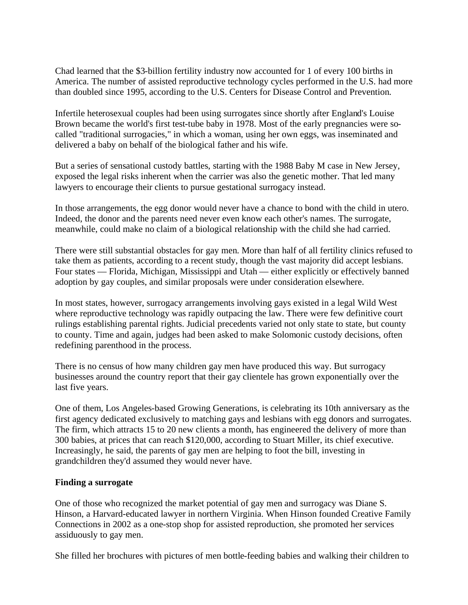Chad learned that the \$3-billion fertility industry now accounted for 1 of every 100 births in America. The number of assisted reproductive technology cycles performed in the U.S. had more than doubled since 1995, according to the U.S. Centers for Disease Control and Prevention.

Infertile heterosexual couples had been using surrogates since shortly after England's Louise Brown became the world's first test-tube baby in 1978. Most of the early pregnancies were socalled "traditional surrogacies," in which a woman, using her own eggs, was inseminated and delivered a baby on behalf of the biological father and his wife.

But a series of sensational custody battles, starting with the 1988 Baby M case in New Jersey, exposed the legal risks inherent when the carrier was also the genetic mother. That led many lawyers to encourage their clients to pursue gestational surrogacy instead.

In those arrangements, the egg donor would never have a chance to bond with the child in utero. Indeed, the donor and the parents need never even know each other's names. The surrogate, meanwhile, could make no claim of a biological relationship with the child she had carried.

There were still substantial obstacles for gay men. More than half of all fertility clinics refused to take them as patients, according to a recent study, though the vast majority did accept lesbians. Four states — Florida, Michigan, Mississippi and Utah — either explicitly or effectively banned adoption by gay couples, and similar proposals were under consideration elsewhere.

In most states, however, surrogacy arrangements involving gays existed in a legal Wild West where reproductive technology was rapidly outpacing the law. There were few definitive court rulings establishing parental rights. Judicial precedents varied not only state to state, but county to county. Time and again, judges had been asked to make Solomonic custody decisions, often redefining parenthood in the process.

There is no census of how many children gay men have produced this way. But surrogacy businesses around the country report that their gay clientele has grown exponentially over the last five years.

One of them, Los Angeles-based Growing Generations, is celebrating its 10th anniversary as the first agency dedicated exclusively to matching gays and lesbians with egg donors and surrogates. The firm, which attracts 15 to 20 new clients a month, has engineered the delivery of more than 300 babies, at prices that can reach \$120,000, according to Stuart Miller, its chief executive. Increasingly, he said, the parents of gay men are helping to foot the bill, investing in grandchildren they'd assumed they would never have.

#### **Finding a surrogate**

One of those who recognized the market potential of gay men and surrogacy was Diane S. Hinson, a Harvard-educated lawyer in northern Virginia. When Hinson founded Creative Family Connections in 2002 as a one-stop shop for assisted reproduction, she promoted her services assiduously to gay men.

She filled her brochures with pictures of men bottle-feeding babies and walking their children to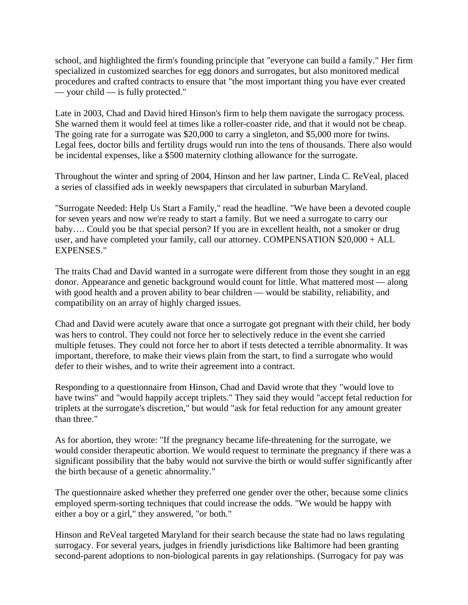school, and highlighted the firm's founding principle that "everyone can build a family." Her firm specialized in customized searches for egg donors and surrogates, but also monitored medical procedures and crafted contracts to ensure that "the most important thing you have ever created — your child — is fully protected."

Late in 2003, Chad and David hired Hinson's firm to help them navigate the surrogacy process. She warned them it would feel at times like a roller-coaster ride, and that it would not be cheap. The going rate for a surrogate was \$20,000 to carry a singleton, and \$5,000 more for twins. Legal fees, doctor bills and fertility drugs would run into the tens of thousands. There also would be incidental expenses, like a \$500 maternity clothing allowance for the surrogate.

Throughout the winter and spring of 2004, Hinson and her law partner, Linda C. ReVeal, placed a series of classified ads in weekly newspapers that circulated in suburban Maryland.

"Surrogate Needed: Help Us Start a Family," read the headline. "We have been a devoted couple for seven years and now we're ready to start a family. But we need a surrogate to carry our baby…. Could you be that special person? If you are in excellent health, not a smoker or drug user, and have completed your family, call our attorney. COMPENSATION \$20,000 + ALL EXPENSES."

The traits Chad and David wanted in a surrogate were different from those they sought in an egg donor. Appearance and genetic background would count for little. What mattered most — along with good health and a proven ability to bear children — would be stability, reliability, and compatibility on an array of highly charged issues.

Chad and David were acutely aware that once a surrogate got pregnant with their child, her body was hers to control. They could not force her to selectively reduce in the event she carried multiple fetuses. They could not force her to abort if tests detected a terrible abnormality. It was important, therefore, to make their views plain from the start, to find a surrogate who would defer to their wishes, and to write their agreement into a contract.

Responding to a questionnaire from Hinson, Chad and David wrote that they "would love to have twins" and "would happily accept triplets." They said they would "accept fetal reduction for triplets at the surrogate's discretion," but would "ask for fetal reduction for any amount greater than three."

As for abortion, they wrote: "If the pregnancy became life-threatening for the surrogate, we would consider therapeutic abortion. We would request to terminate the pregnancy if there was a significant possibility that the baby would not survive the birth or would suffer significantly after the birth because of a genetic abnormality."

The questionnaire asked whether they preferred one gender over the other, because some clinics employed sperm-sorting techniques that could increase the odds. "We would be happy with either a boy or a girl," they answered, "or both."

Hinson and ReVeal targeted Maryland for their search because the state had no laws regulating surrogacy. For several years, judges in friendly jurisdictions like Baltimore had been granting second-parent adoptions to non-biological parents in gay relationships. (Surrogacy for pay was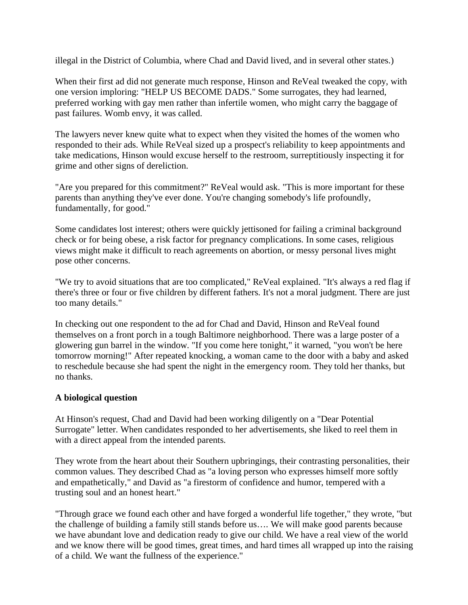illegal in the District of Columbia, where Chad and David lived, and in several other states.)

When their first ad did not generate much response, Hinson and ReVeal tweaked the copy, with one version imploring: "HELP US BECOME DADS." Some surrogates, they had learned, preferred working with gay men rather than infertile women, who might carry the baggage of past failures. Womb envy, it was called.

The lawyers never knew quite what to expect when they visited the homes of the women who responded to their ads. While ReVeal sized up a prospect's reliability to keep appointments and take medications, Hinson would excuse herself to the restroom, surreptitiously inspecting it for grime and other signs of dereliction.

"Are you prepared for this commitment?" ReVeal would ask. "This is more important for these parents than anything they've ever done. You're changing somebody's life profoundly, fundamentally, for good."

Some candidates lost interest; others were quickly jettisoned for failing a criminal background check or for being obese, a risk factor for pregnancy complications. In some cases, religious views might make it difficult to reach agreements on abortion, or messy personal lives might pose other concerns.

"We try to avoid situations that are too complicated," ReVeal explained. "It's always a red flag if there's three or four or five children by different fathers. It's not a moral judgment. There are just too many details."

In checking out one respondent to the ad for Chad and David, Hinson and ReVeal found themselves on a front porch in a tough Baltimore neighborhood. There was a large poster of a glowering gun barrel in the window. "If you come here tonight," it warned, "you won't be here tomorrow morning!" After repeated knocking, a woman came to the door with a baby and asked to reschedule because she had spent the night in the emergency room. They told her thanks, but no thanks.

### **A biological question**

At Hinson's request, Chad and David had been working diligently on a "Dear Potential Surrogate" letter. When candidates responded to her advertisements, she liked to reel them in with a direct appeal from the intended parents.

They wrote from the heart about their Southern upbringings, their contrasting personalities, their common values. They described Chad as "a loving person who expresses himself more softly and empathetically," and David as "a firestorm of confidence and humor, tempered with a trusting soul and an honest heart."

"Through grace we found each other and have forged a wonderful life together," they wrote, "but the challenge of building a family still stands before us…. We will make good parents because we have abundant love and dedication ready to give our child. We have a real view of the world and we know there will be good times, great times, and hard times all wrapped up into the raising of a child. We want the fullness of the experience."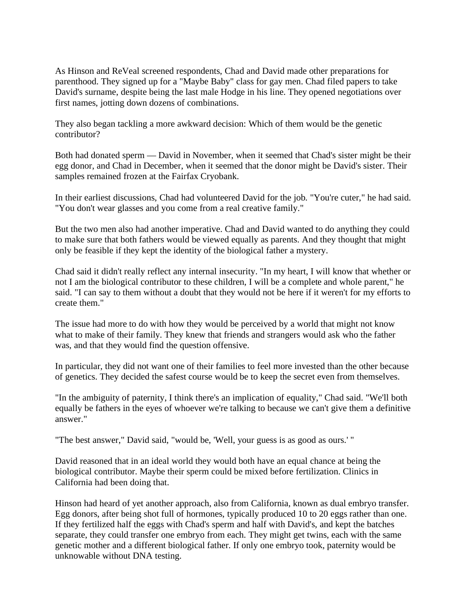As Hinson and ReVeal screened respondents, Chad and David made other preparations for parenthood. They signed up for a "Maybe Baby" class for gay men. Chad filed papers to take David's surname, despite being the last male Hodge in his line. They opened negotiations over first names, jotting down dozens of combinations.

They also began tackling a more awkward decision: Which of them would be the genetic contributor?

Both had donated sperm — David in November, when it seemed that Chad's sister might be their egg donor, and Chad in December, when it seemed that the donor might be David's sister. Their samples remained frozen at the Fairfax Cryobank.

In their earliest discussions, Chad had volunteered David for the job. "You're cuter," he had said. "You don't wear glasses and you come from a real creative family."

But the two men also had another imperative. Chad and David wanted to do anything they could to make sure that both fathers would be viewed equally as parents. And they thought that might only be feasible if they kept the identity of the biological father a mystery.

Chad said it didn't really reflect any internal insecurity. "In my heart, I will know that whether or not I am the biological contributor to these children, I will be a complete and whole parent," he said. "I can say to them without a doubt that they would not be here if it weren't for my efforts to create them."

The issue had more to do with how they would be perceived by a world that might not know what to make of their family. They knew that friends and strangers would ask who the father was, and that they would find the question offensive.

In particular, they did not want one of their families to feel more invested than the other because of genetics. They decided the safest course would be to keep the secret even from themselves.

"In the ambiguity of paternity, I think there's an implication of equality," Chad said. "We'll both equally be fathers in the eyes of whoever we're talking to because we can't give them a definitive answer."

"The best answer," David said, "would be, 'Well, your guess is as good as ours.' "

David reasoned that in an ideal world they would both have an equal chance at being the biological contributor. Maybe their sperm could be mixed before fertilization. Clinics in California had been doing that.

Hinson had heard of yet another approach, also from California, known as dual embryo transfer. Egg donors, after being shot full of hormones, typically produced 10 to 20 eggs rather than one. If they fertilized half the eggs with Chad's sperm and half with David's, and kept the batches separate, they could transfer one embryo from each. They might get twins, each with the same genetic mother and a different biological father. If only one embryo took, paternity would be unknowable without DNA testing.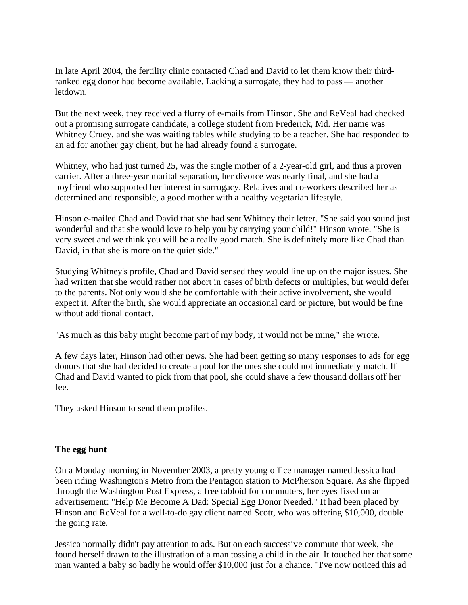In late April 2004, the fertility clinic contacted Chad and David to let them know their thirdranked egg donor had become available. Lacking a surrogate, they had to pass — another letdown.

But the next week, they received a flurry of e-mails from Hinson. She and ReVeal had checked out a promising surrogate candidate, a college student from Frederick, Md. Her name was Whitney Cruey, and she was waiting tables while studying to be a teacher. She had responded to an ad for another gay client, but he had already found a surrogate.

Whitney, who had just turned 25, was the single mother of a 2-year-old girl, and thus a proven carrier. After a three-year marital separation, her divorce was nearly final, and she had a boyfriend who supported her interest in surrogacy. Relatives and co-workers described her as determined and responsible, a good mother with a healthy vegetarian lifestyle.

Hinson e-mailed Chad and David that she had sent Whitney their letter. "She said you sound just wonderful and that she would love to help you by carrying your child!" Hinson wrote. "She is very sweet and we think you will be a really good match. She is definitely more like Chad than David, in that she is more on the quiet side."

Studying Whitney's profile, Chad and David sensed they would line up on the major issues. She had written that she would rather not abort in cases of birth defects or multiples, but would defer to the parents. Not only would she be comfortable with their active involvement, she would expect it. After the birth, she would appreciate an occasional card or picture, but would be fine without additional contact.

"As much as this baby might become part of my body, it would not be mine," she wrote.

A few days later, Hinson had other news. She had been getting so many responses to ads for egg donors that she had decided to create a pool for the ones she could not immediately match. If Chad and David wanted to pick from that pool, she could shave a few thousand dollars off her fee.

They asked Hinson to send them profiles.

#### **The egg hunt**

On a Monday morning in November 2003, a pretty young office manager named Jessica had been riding Washington's Metro from the Pentagon station to McPherson Square. As she flipped through the Washington Post Express, a free tabloid for commuters, her eyes fixed on an advertisement: "Help Me Become A Dad: Special Egg Donor Needed." It had been placed by Hinson and ReVeal for a well-to-do gay client named Scott, who was offering \$10,000, double the going rate.

Jessica normally didn't pay attention to ads. But on each successive commute that week, she found herself drawn to the illustration of a man tossing a child in the air. It touched her that some man wanted a baby so badly he would offer \$10,000 just for a chance. "I've now noticed this ad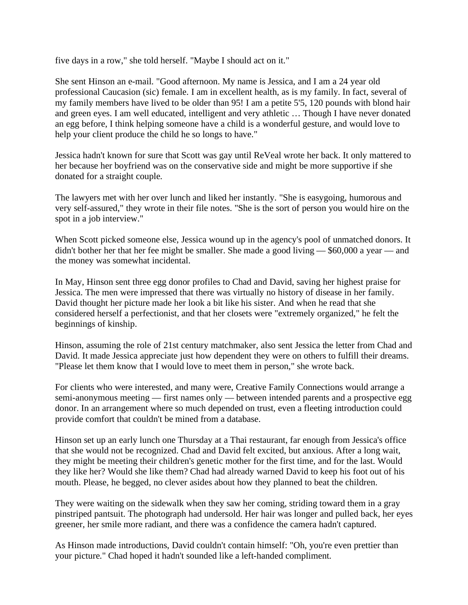five days in a row," she told herself. "Maybe I should act on it."

She sent Hinson an e-mail. "Good afternoon. My name is Jessica, and I am a 24 year old professional Caucasion (sic) female. I am in excellent health, as is my family. In fact, several of my family members have lived to be older than 95! I am a petite 5'5, 120 pounds with blond hair and green eyes. I am well educated, intelligent and very athletic … Though I have never donated an egg before, I think helping someone have a child is a wonderful gesture, and would love to help your client produce the child he so longs to have."

Jessica hadn't known for sure that Scott was gay until ReVeal wrote her back. It only mattered to her because her boyfriend was on the conservative side and might be more supportive if she donated for a straight couple.

The lawyers met with her over lunch and liked her instantly. "She is easygoing, humorous and very self-assured," they wrote in their file notes. "She is the sort of person you would hire on the spot in a job interview."

When Scott picked someone else, Jessica wound up in the agency's pool of unmatched donors. It didn't bother her that her fee might be smaller. She made a good living — \$60,000 a year — and the money was somewhat incidental.

In May, Hinson sent three egg donor profiles to Chad and David, saving her highest praise for Jessica. The men were impressed that there was virtually no history of disease in her family. David thought her picture made her look a bit like his sister. And when he read that she considered herself a perfectionist, and that her closets were "extremely organized," he felt the beginnings of kinship.

Hinson, assuming the role of 21st century matchmaker, also sent Jessica the letter from Chad and David. It made Jessica appreciate just how dependent they were on others to fulfill their dreams. "Please let them know that I would love to meet them in person," she wrote back.

For clients who were interested, and many were, Creative Family Connections would arrange a semi-anonymous meeting — first names only — between intended parents and a prospective egg donor. In an arrangement where so much depended on trust, even a fleeting introduction could provide comfort that couldn't be mined from a database.

Hinson set up an early lunch one Thursday at a Thai restaurant, far enough from Jessica's office that she would not be recognized. Chad and David felt excited, but anxious. After a long wait, they might be meeting their children's genetic mother for the first time, and for the last. Would they like her? Would she like them? Chad had already warned David to keep his foot out of his mouth. Please, he begged, no clever asides about how they planned to beat the children.

They were waiting on the sidewalk when they saw her coming, striding toward them in a gray pinstriped pantsuit. The photograph had undersold. Her hair was longer and pulled back, her eyes greener, her smile more radiant, and there was a confidence the camera hadn't captured.

As Hinson made introductions, David couldn't contain himself: "Oh, you're even prettier than your picture." Chad hoped it hadn't sounded like a left-handed compliment.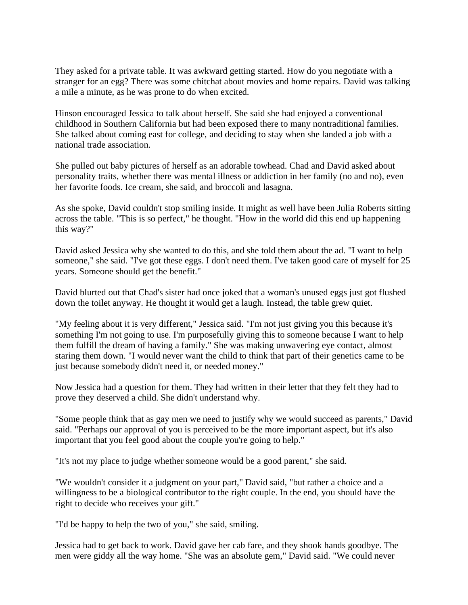They asked for a private table. It was awkward getting started. How do you negotiate with a stranger for an egg? There was some chitchat about movies and home repairs. David was talking a mile a minute, as he was prone to do when excited.

Hinson encouraged Jessica to talk about herself. She said she had enjoyed a conventional childhood in Southern California but had been exposed there to many nontraditional families. She talked about coming east for college, and deciding to stay when she landed a job with a national trade association.

She pulled out baby pictures of herself as an adorable towhead. Chad and David asked about personality traits, whether there was mental illness or addiction in her family (no and no), even her favorite foods. Ice cream, she said, and broccoli and lasagna.

As she spoke, David couldn't stop smiling inside. It might as well have been Julia Roberts sitting across the table. "This is so perfect," he thought. "How in the world did this end up happening this way?"

David asked Jessica why she wanted to do this, and she told them about the ad. "I want to help someone," she said. "I've got these eggs. I don't need them. I've taken good care of myself for 25 years. Someone should get the benefit."

David blurted out that Chad's sister had once joked that a woman's unused eggs just got flushed down the toilet anyway. He thought it would get a laugh. Instead, the table grew quiet.

"My feeling about it is very different," Jessica said. "I'm not just giving you this because it's something I'm not going to use. I'm purposefully giving this to someone because I want to help them fulfill the dream of having a family." She was making unwavering eye contact, almost staring them down. "I would never want the child to think that part of their genetics came to be just because somebody didn't need it, or needed money."

Now Jessica had a question for them. They had written in their letter that they felt they had to prove they deserved a child. She didn't understand why.

"Some people think that as gay men we need to justify why we would succeed as parents," David said. "Perhaps our approval of you is perceived to be the more important aspect, but it's also important that you feel good about the couple you're going to help."

"It's not my place to judge whether someone would be a good parent," she said.

"We wouldn't consider it a judgment on your part," David said, "but rather a choice and a willingness to be a biological contributor to the right couple. In the end, you should have the right to decide who receives your gift."

"I'd be happy to help the two of you," she said, smiling.

Jessica had to get back to work. David gave her cab fare, and they shook hands goodbye. The men were giddy all the way home. "She was an absolute gem," David said. "We could never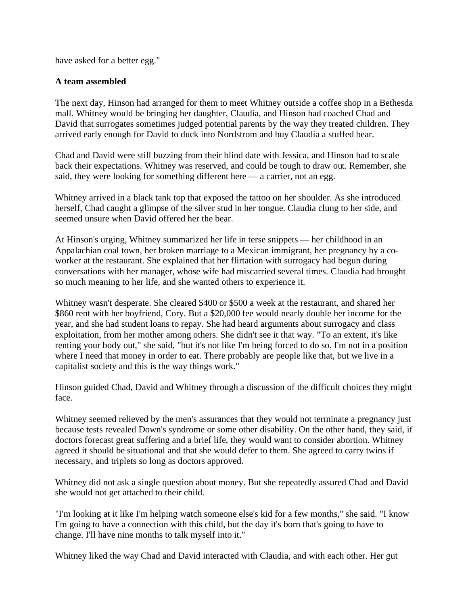have asked for a better egg."

#### **A team assembled**

The next day, Hinson had arranged for them to meet Whitney outside a coffee shop in a Bethesda mall. Whitney would be bringing her daughter, Claudia, and Hinson had coached Chad and David that surrogates sometimes judged potential parents by the way they treated children. They arrived early enough for David to duck into Nordstrom and buy Claudia a stuffed bear.

Chad and David were still buzzing from their blind date with Jessica, and Hinson had to scale back their expectations. Whitney was reserved, and could be tough to draw out. Remember, she said, they were looking for something different here — a carrier, not an egg.

Whitney arrived in a black tank top that exposed the tattoo on her shoulder. As she introduced herself, Chad caught a glimpse of the silver stud in her tongue. Claudia clung to her side, and seemed unsure when David offered her the bear.

At Hinson's urging, Whitney summarized her life in terse snippets — her childhood in an Appalachian coal town, her broken marriage to a Mexican immigrant, her pregnancy by a coworker at the restaurant. She explained that her flirtation with surrogacy had begun during conversations with her manager, whose wife had miscarried several times. Claudia had brought so much meaning to her life, and she wanted others to experience it.

Whitney wasn't desperate. She cleared \$400 or \$500 a week at the restaurant, and shared her \$860 rent with her boyfriend, Cory. But a \$20,000 fee would nearly double her income for the year, and she had student loans to repay. She had heard arguments about surrogacy and class exploitation, from her mother among others. She didn't see it that way. "To an extent, it's like renting your body out," she said, "but it's not like I'm being forced to do so. I'm not in a position where I need that money in order to eat. There probably are people like that, but we live in a capitalist society and this is the way things work."

Hinson guided Chad, David and Whitney through a discussion of the difficult choices they might face.

Whitney seemed relieved by the men's assurances that they would not terminate a pregnancy just because tests revealed Down's syndrome or some other disability. On the other hand, they said, if doctors forecast great suffering and a brief life, they would want to consider abortion. Whitney agreed it should be situational and that she would defer to them. She agreed to carry twins if necessary, and triplets so long as doctors approved.

Whitney did not ask a single question about money. But she repeatedly assured Chad and David she would not get attached to their child.

"I'm looking at it like I'm helping watch someone else's kid for a few months," she said. "I know I'm going to have a connection with this child, but the day it's born that's going to have to change. I'll have nine months to talk myself into it."

Whitney liked the way Chad and David interacted with Claudia, and with each other. Her gut